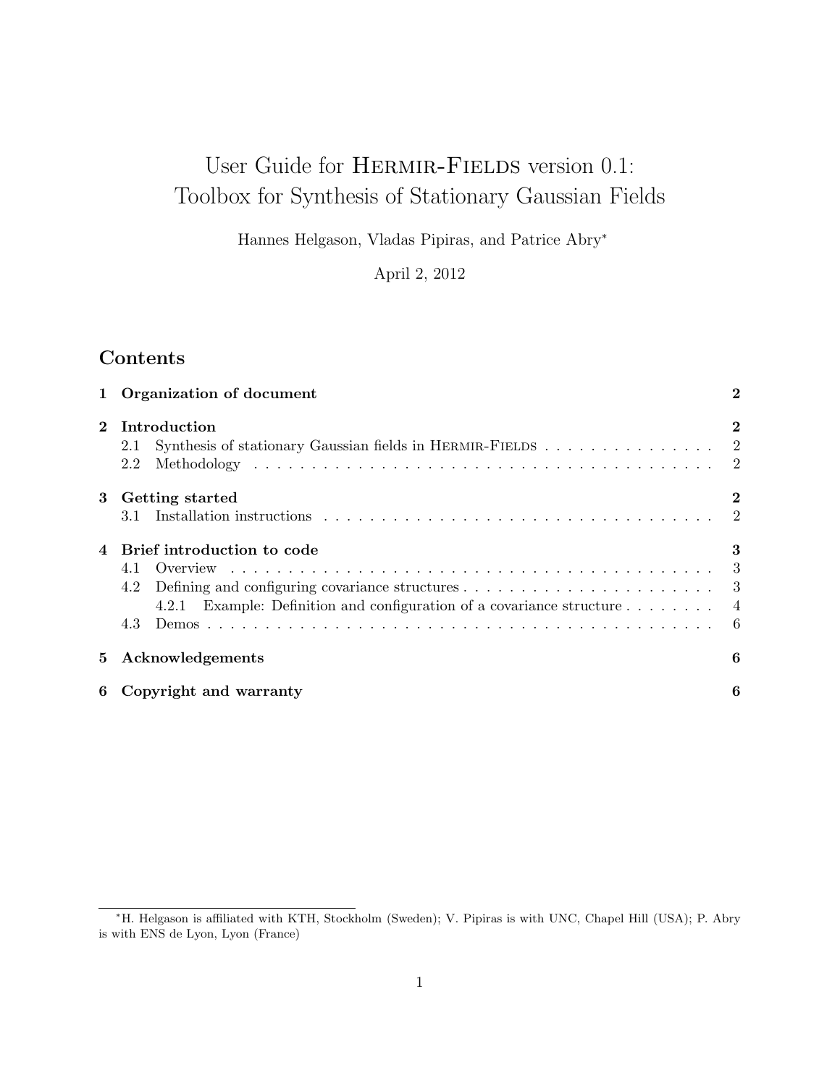# User Guide for HERMIR-FIELDS version 0.1: Toolbox for Synthesis of Stationary Gaussian Fields

Hannes Helgason, Vladas Pipiras, and Patrice Abry<sup>∗</sup>

April 2, 2012

## Contents

|          | Organization of document<br>$\bf{2}$                                                                                                                                                                                           |                                        |  |
|----------|--------------------------------------------------------------------------------------------------------------------------------------------------------------------------------------------------------------------------------|----------------------------------------|--|
| $\bf{2}$ | Introduction<br>Synthesis of stationary Gaussian fields in HERMIR-FIELDS 2<br>2.1<br>2.2                                                                                                                                       | $\bf{2}$                               |  |
| 3        | Getting started<br>3.1                                                                                                                                                                                                         | $\bf{2}$<br>$\overline{\phantom{0}}^2$ |  |
|          | Brief introduction to code<br>4.1<br>Defining and configuring covariance structures $\dots \dots \dots \dots \dots \dots \dots \dots$<br>4.2<br>4.2.1 Example: Definition and configuration of a covariance structure 4<br>4.3 | 3<br>3<br>- 6                          |  |
| 5        | Acknowledgements                                                                                                                                                                                                               |                                        |  |
| 6        | Copyright and warranty<br>6                                                                                                                                                                                                    |                                        |  |

<sup>∗</sup>H. Helgason is affiliated with KTH, Stockholm (Sweden); V. Pipiras is with UNC, Chapel Hill (USA); P. Abry is with ENS de Lyon, Lyon (France)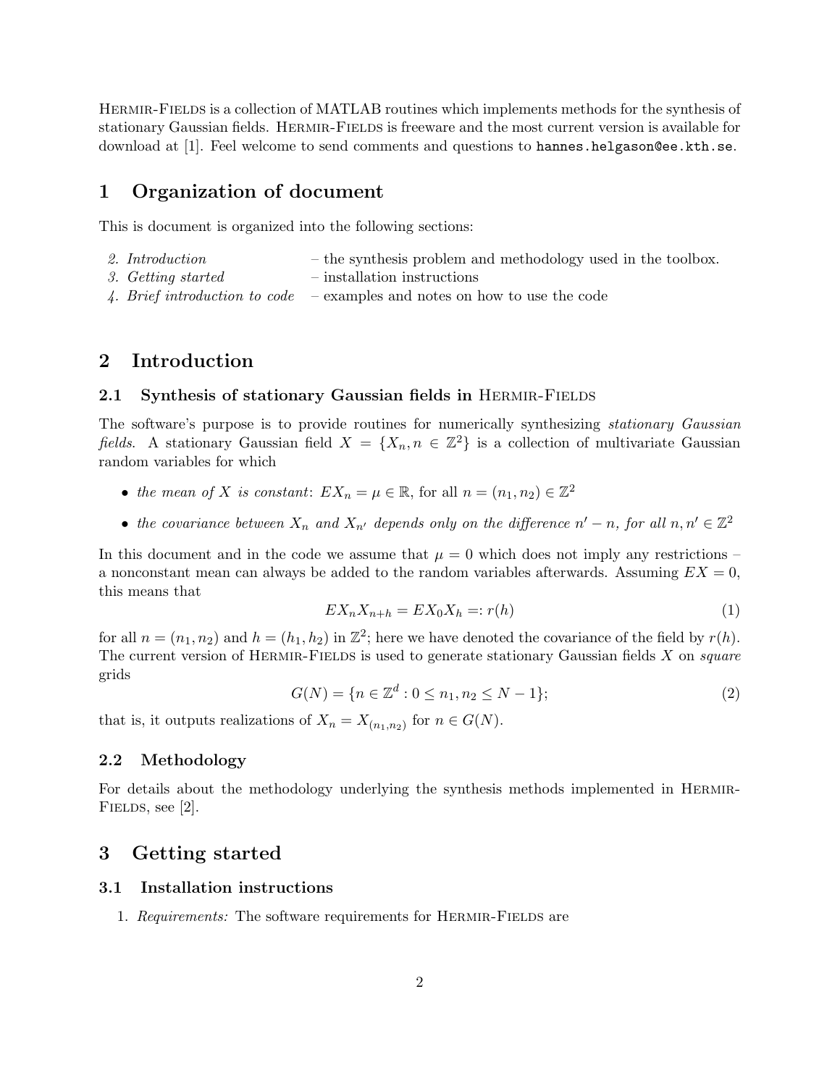Hermir-Fields is a collection of MATLAB routines which implements methods for the synthesis of stationary Gaussian fields. HERMIR-FIELDS is freeware and the most current version is available for download at [1]. Feel welcome to send comments and questions to hannes.helgason@ee.kth.se.

### 1 Organization of document

This is document is organized into the following sections:

- 2. Introduction the synthesis problem and methodology used in the toolbox.
- 3. Getting started installation instructions
- 4. Brief introduction to code examples and notes on how to use the code

### 2 Introduction

#### 2.1 Synthesis of stationary Gaussian fields in HERMIR-FIELDS

The software's purpose is to provide routines for numerically synthesizing stationary Gaussian fields. A stationary Gaussian field  $X = \{X_n, n \in \mathbb{Z}^2\}$  is a collection of multivariate Gaussian random variables for which

- the mean of X is constant:  $EX_n = \mu \in \mathbb{R}$ , for all  $n = (n_1, n_2) \in \mathbb{Z}^2$
- the covariance between  $X_n$  and  $X_{n'}$  depends only on the difference  $n' n$ , for all  $n, n' \in \mathbb{Z}^2$

In this document and in the code we assume that  $\mu = 0$  which does not imply any restrictions – a nonconstant mean can always be added to the random variables afterwards. Assuming  $EX = 0$ , this means that

$$
EX_n X_{n+h} = EX_0 X_h =: r(h)
$$
\n<sup>(1)</sup>

for all  $n = (n_1, n_2)$  and  $h = (h_1, h_2)$  in  $\mathbb{Z}^2$ ; here we have denoted the covariance of the field by  $r(h)$ . The current version of HERMIR-FIELDS is used to generate stationary Gaussian fields  $X$  on square grids

$$
G(N) = \{ n \in \mathbb{Z}^d : 0 \le n_1, n_2 \le N - 1 \};\tag{2}
$$

that is, it outputs realizations of  $X_n = X_{(n_1,n_2)}$  for  $n \in G(N)$ .

#### 2.2 Methodology

For details about the methodology underlying the synthesis methods implemented in HERMIR-FIELDS, see [2].

### 3 Getting started

#### 3.1 Installation instructions

1. Requirements: The software requirements for HERMIR-FIELDS are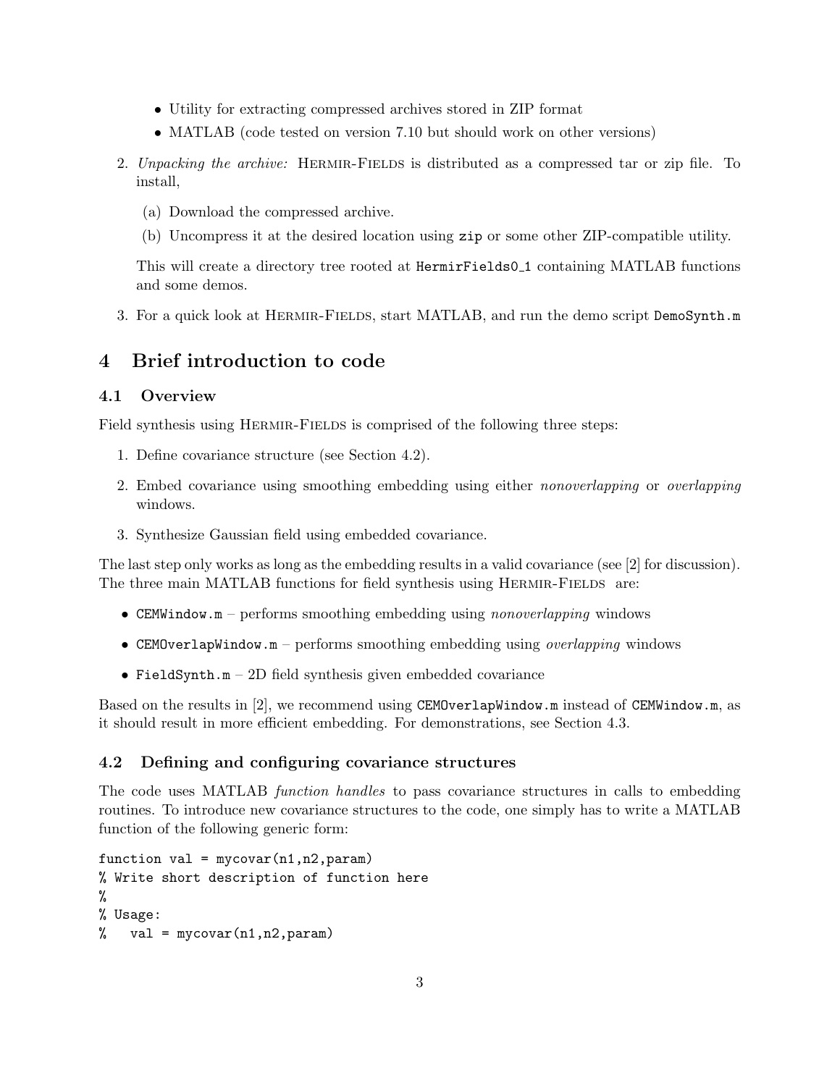- Utility for extracting compressed archives stored in ZIP format
- MATLAB (code tested on version 7.10 but should work on other versions)
- 2. Unpacking the archive: HERMIR-FIELDS is distributed as a compressed tar or zip file. To install,
	- (a) Download the compressed archive.
	- (b) Uncompress it at the desired location using zip or some other ZIP-compatible utility.

This will create a directory tree rooted at HermirFields0 1 containing MATLAB functions and some demos.

3. For a quick look at HERMIR-FIELDS, start MATLAB, and run the demo script DemoSynth.m

### 4 Brief introduction to code

### 4.1 Overview

Field synthesis using HERMIR-FIELDS is comprised of the following three steps:

- 1. Define covariance structure (see Section 4.2).
- 2. Embed covariance using smoothing embedding using either nonoverlapping or overlapping windows.
- 3. Synthesize Gaussian field using embedded covariance.

The last step only works as long as the embedding results in a valid covariance (see [2] for discussion). The three main MATLAB functions for field synthesis using HERMIR-FIELDS are:

- CEMWindow.m performs smoothing embedding using *nonoverlapping* windows
- CEMOverlapWindow.m performs smoothing embedding using *overlapping* windows
- FieldSynth.m  $-2D$  field synthesis given embedded covariance

Based on the results in [2], we recommend using CEMOverlapWindow.m instead of CEMWindow.m, as it should result in more efficient embedding. For demonstrations, see Section 4.3.

#### 4.2 Defining and configuring covariance structures

The code uses MATLAB function handles to pass covariance structures in calls to embedding routines. To introduce new covariance structures to the code, one simply has to write a MATLAB function of the following generic form:

```
function val = mycovar(n1, n2, param)% Write short description of function here
%
% Usage:
% val = mycovar(n1, n2, param)
```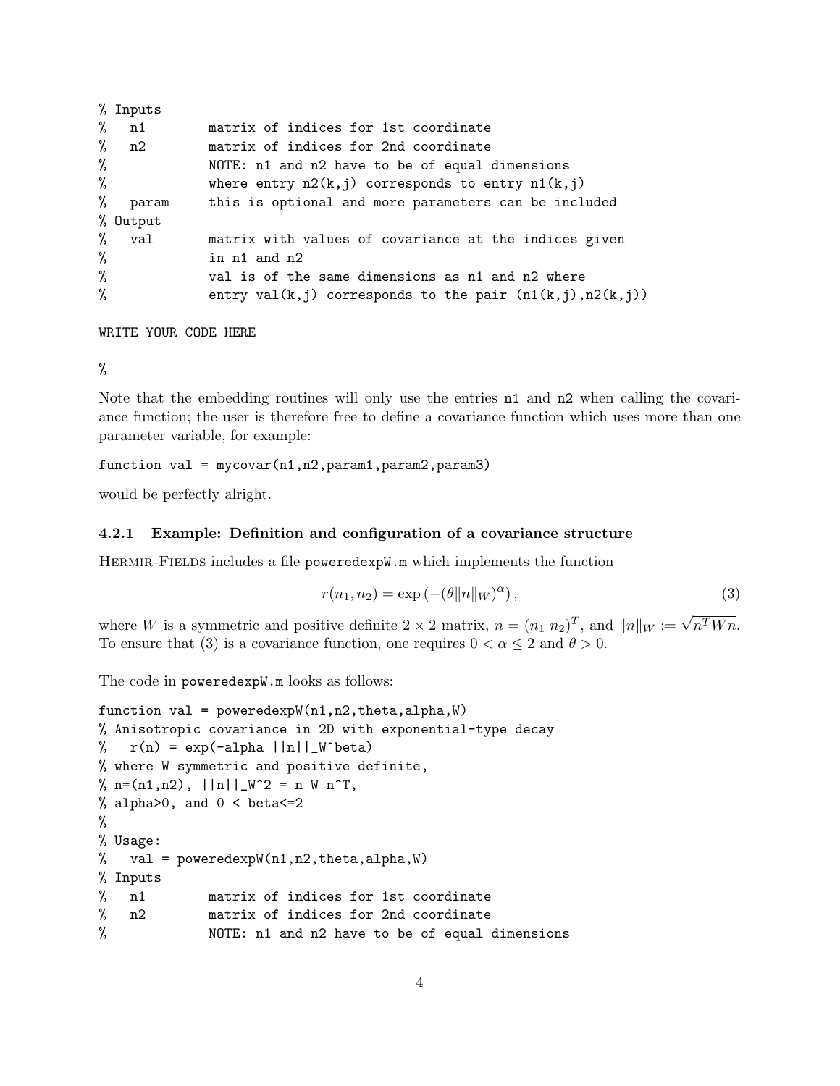|   | % Inputs |                                                                   |
|---|----------|-------------------------------------------------------------------|
| % | n1       | matrix of indices for 1st coordinate                              |
|   | $\%$ n2  | matrix of indices for 2nd coordinate                              |
| % |          | NOTE: n1 and n2 have to be of equal dimensions                    |
| % |          | where entry $n2(k, j)$ corresponds to entry $n1(k, j)$            |
| % | param    | this is optional and more parameters can be included              |
|   | % Output |                                                                   |
|   | % val    | matrix with values of covariance at the indices given             |
| % |          | in n1 and n2                                                      |
| % |          | val is of the same dimensions as n1 and n2 where                  |
| % |          | entry val $(k, j)$ corresponds to the pair $(n1(k, j), n2(k, j))$ |

WRITE YOUR CODE HERE

%

Note that the embedding routines will only use the entries n1 and n2 when calling the covariance function; the user is therefore free to define a covariance function which uses more than one parameter variable, for example:

 $function val = mycovar(n1, n2, param1, param2, param3)$ 

would be perfectly alright.

#### 4.2.1 Example: Definition and configuration of a covariance structure

Hermir-Fields includes a file poweredexpW.m which implements the function

$$
r(n_1, n_2) = \exp\left(-\left(\theta \|n\|_W\right)^{\alpha}\right),\tag{3}
$$

where W is a symmetric and positive definite  $2 \times 2$  matrix,  $n = (n_1 \ n_2)^T$ , and  $||n||_W := \sqrt{n^T W n}$ . To ensure that (3) is a covariance function, one requires  $0 < \alpha \leq 2$  and  $\theta > 0$ .

The code in poweredexpW.m looks as follows:

```
function val = poweredexpW(n1, n2, theta, alpha, W)% Anisotropic covariance in 2D with exponential-type decay
\frac{1}{\pi} r(n) = exp(-alpha ||n||_W^beta)
% where W symmetric and positive definite,
% n=(n1,n2), ||n||_W^2 = n W n^T,
% alpha>0, and 0 < beta<=2
%
% Usage:
% val = poweredexpW(n1,n2,theta,alpha,W)
% Inputs
% n1 matrix of indices for 1st coordinate
% n2 matrix of indices for 2nd coordinate
% NOTE: n1 and n2 have to be of equal dimensions
```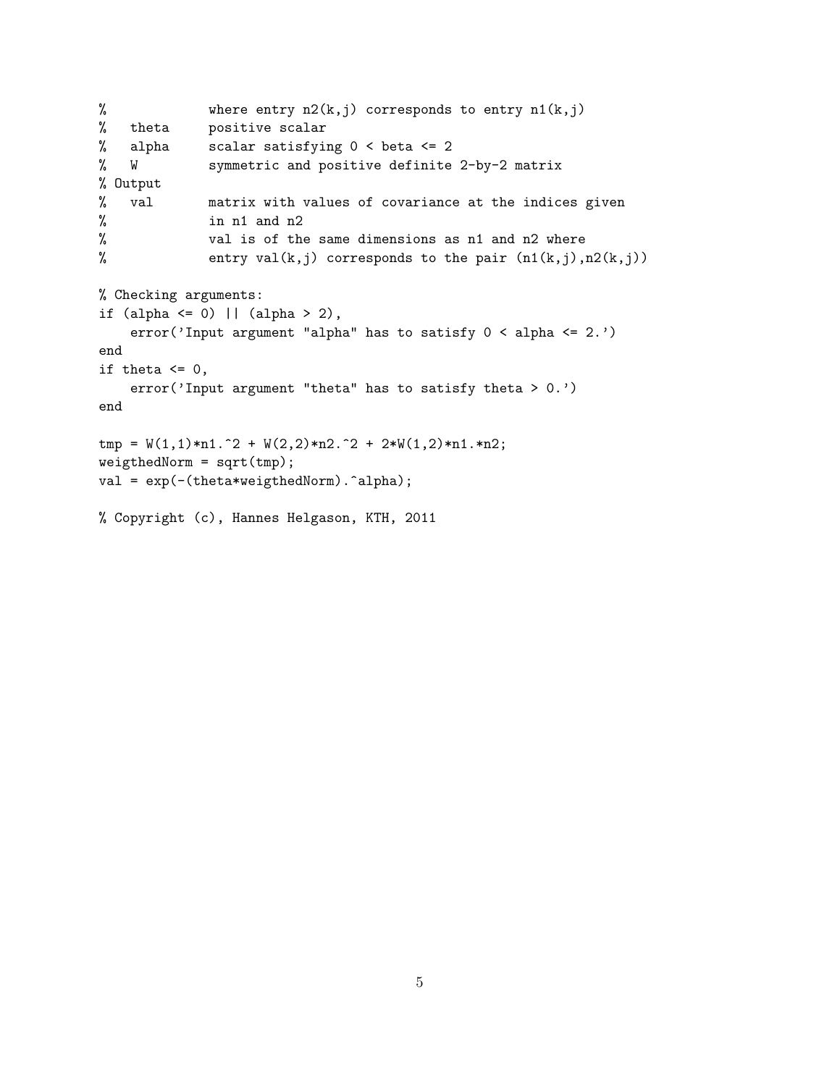```
% where entry n2(k,j) corresponds to entry n1(k,j)
% theta positive scalar
% alpha scalar satisfying 0 < beta <= 2
% W symmetric and positive definite 2-by-2 matrix
% Output
% val matrix with values of covariance at the indices given
% in n1 and n2
% val is of the same dimensions as n1 and n2 where
% entry val(k,j) corresponds to the pair (n1(k,j),n2(k,j))% Checking arguments:
if (alpha \leq 0) || (alpha > 2),
   error('Input argument "alpha" has to satisfy 0 < alpha \leq 2.')
end
if theta \leq 0,
   error('Input argument "theta" has to satisfy theta > 0.')
end
tmp = W(1,1)*n1.^2 + W(2,2)*n2.^2 + 2*W(1,2)*n1.*n2;weigthedNorm = sqrt(tmp);
val = exp(-(theta*weigthedNorm).^alpha);
```
% Copyright (c), Hannes Helgason, KTH, 2011